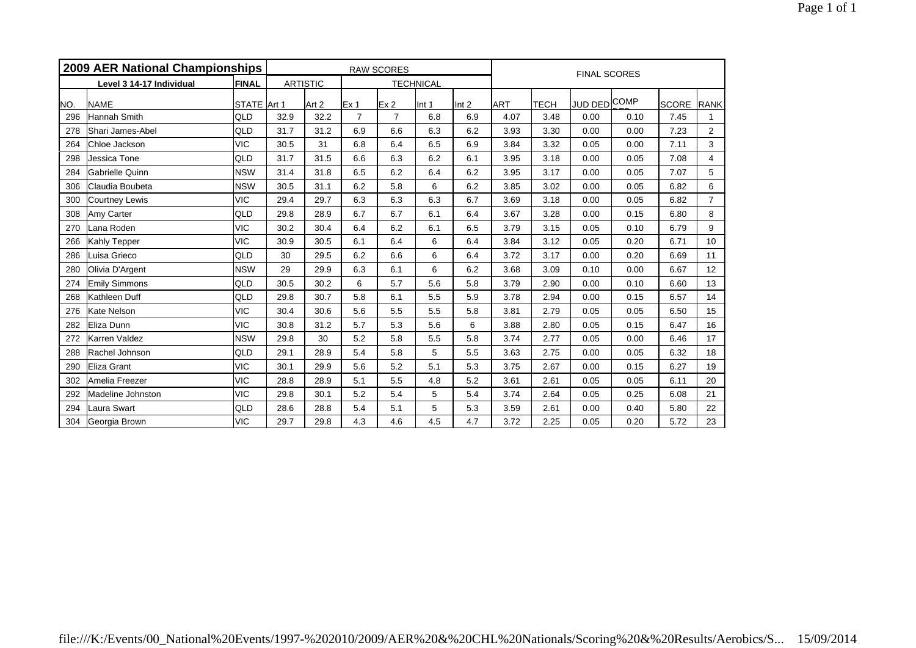|     | 2009 AER National Championships |              |      |                 |                 | <b>RAW SCORES</b> |                  |                  | <b>FINAL SCORES</b> |             |              |      |              |                |  |
|-----|---------------------------------|--------------|------|-----------------|-----------------|-------------------|------------------|------------------|---------------------|-------------|--------------|------|--------------|----------------|--|
|     | Level 3 14-17 Individual        | <b>FINAL</b> |      | <b>ARTISTIC</b> |                 |                   | <b>TECHNICAL</b> |                  |                     |             |              |      |              |                |  |
| NO. | <b>NAME</b>                     | STATE Art 1  |      | Art 2           | Ex <sub>1</sub> | Ex <sub>2</sub>   | Int 1            | Int <sub>2</sub> | <b>ART</b>          | <b>TECH</b> | JUD DED COMP |      | <b>SCORE</b> | <b>RANK</b>    |  |
| 296 | Hannah Smith                    | QLD          | 32.9 | 32.2            | $\overline{7}$  | $\overline{7}$    | 6.8              | 6.9              | 4.07                | 3.48        | 0.00         | 0.10 | 7.45         | $\mathbf{1}$   |  |
| 278 | Shari James-Abel                | QLD          | 31.7 | 31.2            | 6.9             | 6.6               | 6.3              | 6.2              | 3.93                | 3.30        | 0.00         | 0.00 | 7.23         | $\mathbf{2}$   |  |
| 264 | Chloe Jackson                   | <b>VIC</b>   | 30.5 | 31              | 6.8             | 6.4               | 6.5              | 6.9              | 3.84                | 3.32        | 0.05         | 0.00 | 7.11         | 3              |  |
| 298 | Jessica Tone                    | QLD          | 31.7 | 31.5            | 6.6             | 6.3               | 6.2              | 6.1              | 3.95                | 3.18        | 0.00         | 0.05 | 7.08         | $\overline{4}$ |  |
| 284 | <b>Gabrielle Quinn</b>          | <b>NSW</b>   | 31.4 | 31.8            | 6.5             | 6.2               | 6.4              | 6.2              | 3.95                | 3.17        | 0.00         | 0.05 | 7.07         | 5              |  |
| 306 | Claudia Boubeta                 | <b>NSW</b>   | 30.5 | 31.1            | 6.2             | 5.8               | 6                | 6.2              | 3.85                | 3.02        | 0.00         | 0.05 | 6.82         | 6              |  |
| 300 | Courtney Lewis                  | <b>VIC</b>   | 29.4 | 29.7            | 6.3             | 6.3               | 6.3              | 6.7              | 3.69                | 3.18        | 0.00         | 0.05 | 6.82         | $\overline{7}$ |  |
| 308 | Amy Carter                      | QLD          | 29.8 | 28.9            | 6.7             | 6.7               | 6.1              | 6.4              | 3.67                | 3.28        | 0.00         | 0.15 | 6.80         | 8              |  |
| 270 | Lana Roden                      | <b>VIC</b>   | 30.2 | 30.4            | 6.4             | 6.2               | 6.1              | 6.5              | 3.79                | 3.15        | 0.05         | 0.10 | 6.79         | 9              |  |
| 266 | Kahly Tepper                    | <b>VIC</b>   | 30.9 | 30.5            | 6.1             | 6.4               | 6                | 6.4              | 3.84                | 3.12        | 0.05         | 0.20 | 6.71         | 10             |  |
| 286 | Luisa Grieco                    | QLD          | 30   | 29.5            | 6.2             | 6.6               | 6                | 6.4              | 3.72                | 3.17        | 0.00         | 0.20 | 6.69         | 11             |  |
| 280 | Olivia D'Argent                 | <b>NSW</b>   | 29   | 29.9            | 6.3             | 6.1               | 6                | 6.2              | 3.68                | 3.09        | 0.10         | 0.00 | 6.67         | 12             |  |
| 274 | Emily Simmons                   | QLD          | 30.5 | 30.2            | 6               | 5.7               | 5.6              | 5.8              | 3.79                | 2.90        | 0.00         | 0.10 | 6.60         | 13             |  |
| 268 | Kathleen Duff                   | QLD          | 29.8 | 30.7            | 5.8             | 6.1               | 5.5              | 5.9              | 3.78                | 2.94        | 0.00         | 0.15 | 6.57         | 14             |  |
| 276 | Kate Nelson                     | <b>VIC</b>   | 30.4 | 30.6            | 5.6             | 5.5               | 5.5              | 5.8              | 3.81                | 2.79        | 0.05         | 0.05 | 6.50         | 15             |  |
| 282 | Eliza Dunn                      | <b>VIC</b>   | 30.8 | 31.2            | 5.7             | 5.3               | 5.6              | 6                | 3.88                | 2.80        | 0.05         | 0.15 | 6.47         | 16             |  |
| 272 | Karren Valdez                   | <b>NSW</b>   | 29.8 | 30              | 5.2             | 5.8               | 5.5              | 5.8              | 3.74                | 2.77        | 0.05         | 0.00 | 6.46         | 17             |  |
| 288 | Rachel Johnson                  | QLD          | 29.1 | 28.9            | 5.4             | 5.8               | 5                | 5.5              | 3.63                | 2.75        | 0.00         | 0.05 | 6.32         | 18             |  |
| 290 | Eliza Grant                     | <b>VIC</b>   | 30.1 | 29.9            | 5.6             | 5.2               | 5.1              | 5.3              | 3.75                | 2.67        | 0.00         | 0.15 | 6.27         | 19             |  |
| 302 | Amelia Freezer                  | <b>VIC</b>   | 28.8 | 28.9            | 5.1             | 5.5               | 4.8              | 5.2              | 3.61                | 2.61        | 0.05         | 0.05 | 6.11         | 20             |  |
| 292 | Madeline Johnston               | <b>VIC</b>   | 29.8 | 30.1            | 5.2             | 5.4               | 5                | 5.4              | 3.74                | 2.64        | 0.05         | 0.25 | 6.08         | 21             |  |
| 294 | Laura Swart                     | QLD          | 28.6 | 28.8            | 5.4             | 5.1               | 5                | 5.3              | 3.59                | 2.61        | 0.00         | 0.40 | 5.80         | 22             |  |
| 304 | Georgia Brown                   | <b>VIC</b>   | 29.7 | 29.8            | 4.3             | 4.6               | 4.5              | 4.7              | 3.72                | 2.25        | 0.05         | 0.20 | 5.72         | 23             |  |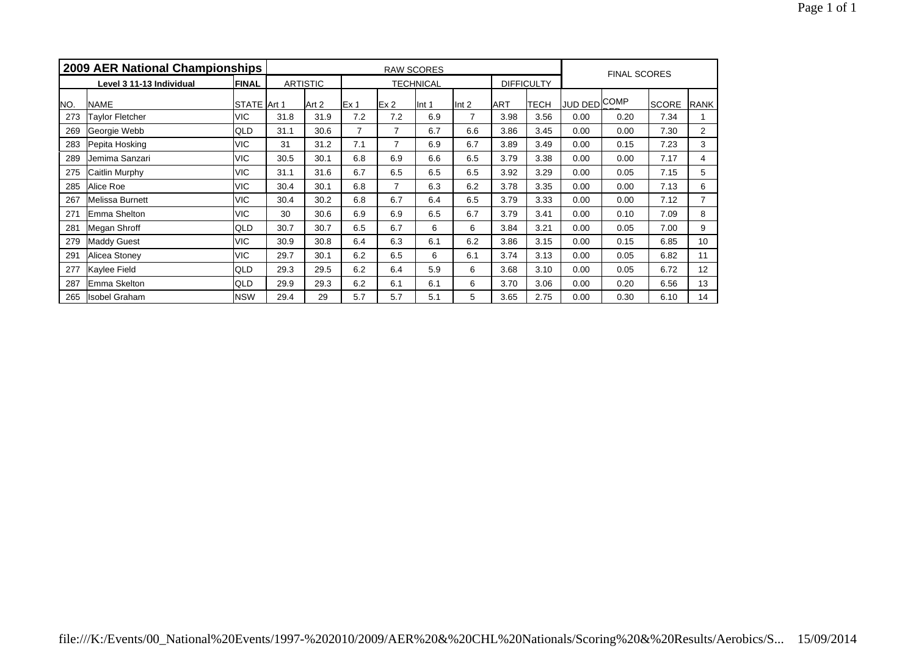|     | 2009 AER National Championships |              |      | <b>RAW SCORES</b> |                 |     |                  |                  |      |                   |                     |      | <b>FINAL SCORES</b> |                |  |  |
|-----|---------------------------------|--------------|------|-------------------|-----------------|-----|------------------|------------------|------|-------------------|---------------------|------|---------------------|----------------|--|--|
|     | Level 3 11-13 Individual        | <b>FINAL</b> |      | <b>ARTISTIC</b>   |                 |     | <b>TECHNICAL</b> |                  |      | <b>DIFFICULTY</b> |                     |      |                     |                |  |  |
| NO. | <b>NAME</b>                     | STATE Art 1  |      | Art 2             | Ex <sub>1</sub> | Ex2 | llnt 1           | Int <sub>2</sub> | IART | <b>TECH</b>       | <b>JUD DED COMP</b> |      | <b>SCORE</b>        | RANK           |  |  |
| 273 | Taylor Fletcher                 | <b>VIC</b>   | 31.8 | 31.9              | 7.2             | 7.2 | 6.9              | 7                | 3.98 | 3.56              | 0.00                | 0.20 | 7.34                |                |  |  |
| 269 | Georgie Webb                    | QLD          | 31.1 | 30.6              | 7               | 7   | 6.7              | 6.6              | 3.86 | 3.45              | 0.00                | 0.00 | 7.30                | $\overline{2}$ |  |  |
| 283 | Pepita Hosking                  | <b>VIC</b>   | 31   | 31.2              | 7.1             | 7   | 6.9              | 6.7              | 3.89 | 3.49              | 0.00                | 0.15 | 7.23                | 3              |  |  |
| 289 | Jemima Sanzari                  | <b>VIC</b>   | 30.5 | 30.1              | 6.8             | 6.9 | 6.6              | 6.5              | 3.79 | 3.38              | 0.00                | 0.00 | 7.17                | 4              |  |  |
| 275 | Caitlin Murphy                  | <b>VIC</b>   | 31.1 | 31.6              | 6.7             | 6.5 | 6.5              | 6.5              | 3.92 | 3.29              | 0.00                | 0.05 | 7.15                | 5              |  |  |
| 285 | Alice Roe                       | <b>VIC</b>   | 30.4 | 30.1              | 6.8             | 7   | 6.3              | 6.2              | 3.78 | 3.35              | 0.00                | 0.00 | 7.13                | 6              |  |  |
| 267 | Melissa Burnett                 | <b>VIC</b>   | 30.4 | 30.2              | 6.8             | 6.7 | 6.4              | 6.5              | 3.79 | 3.33              | 0.00                | 0.00 | 7.12                | 7              |  |  |
| 271 | Emma Shelton                    | <b>VIC</b>   | 30   | 30.6              | 6.9             | 6.9 | 6.5              | 6.7              | 3.79 | 3.41              | 0.00                | 0.10 | 7.09                | 8              |  |  |
| 281 | Megan Shroff                    | <b>QLD</b>   | 30.7 | 30.7              | 6.5             | 6.7 | 6                | 6                | 3.84 | 3.21              | 0.00                | 0.05 | 7.00                | 9              |  |  |
| 279 | <b>Maddy Guest</b>              | <b>VIC</b>   | 30.9 | 30.8              | 6.4             | 6.3 | 6.1              | 6.2              | 3.86 | 3.15              | 0.00                | 0.15 | 6.85                | 10             |  |  |
| 291 | Alicea Stoney                   | <b>VIC</b>   | 29.7 | 30.1              | 6.2             | 6.5 | 6                | 6.1              | 3.74 | 3.13              | 0.00                | 0.05 | 6.82                | 11             |  |  |
| 277 | Kaylee Field                    | QLD          | 29.3 | 29.5              | 6.2             | 6.4 | 5.9              | 6                | 3.68 | 3.10              | 0.00                | 0.05 | 6.72                | 12             |  |  |
| 287 | Emma Skelton                    | QLD          | 29.9 | 29.3              | 6.2             | 6.1 | 6.1              | 6                | 3.70 | 3.06              | 0.00                | 0.20 | 6.56                | 13             |  |  |
| 265 | <b>Isobel Graham</b>            | <b>NSW</b>   | 29.4 | 29                | 5.7             | 5.7 | 5.1              | 5                | 3.65 | 2.75              | 0.00                | 0.30 | 6.10                | 14             |  |  |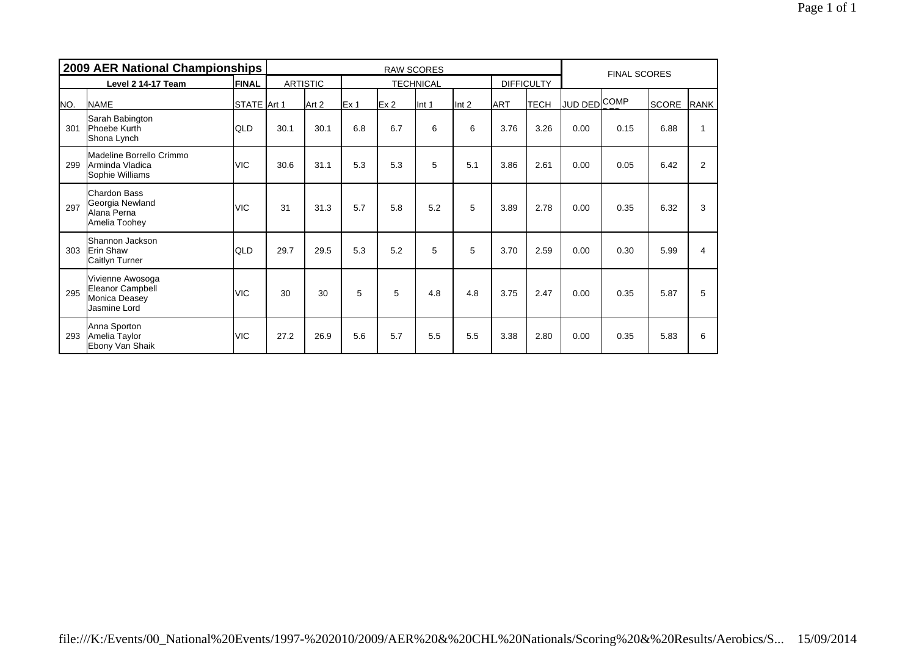|     | <b>2009 AER National Championships</b>                                 |              |      |                 |                 | <b>FINAL SCORES</b> |                  |                  |            |                   |              |      |              |      |  |
|-----|------------------------------------------------------------------------|--------------|------|-----------------|-----------------|---------------------|------------------|------------------|------------|-------------------|--------------|------|--------------|------|--|
|     | Level 2 14-17 Team                                                     | <b>FINAL</b> |      | <b>ARTISTIC</b> |                 |                     | <b>TECHNICAL</b> |                  |            | <b>DIFFICULTY</b> |              |      |              |      |  |
| NO. | <b>NAME</b>                                                            | STATE Art 1  |      | Art 2           | Ex <sub>1</sub> | Ex <sub>2</sub>     | Int 1            | Int <sub>2</sub> | <b>ART</b> | <b>TECH</b>       | JUD DED COMP |      | <b>SCORE</b> | RANK |  |
| 301 | Sarah Babington<br>Phoebe Kurth<br>Shona Lynch                         | <b>QLD</b>   | 30.1 | 30.1            | 6.8             | 6.7                 | 6                | 6                | 3.76       | 3.26              | 0.00         | 0.15 | 6.88         |      |  |
| 299 | Madeline Borrello Crimmo<br>Arminda Vladica<br>Sophie Williams         | <b>VIC</b>   | 30.6 | 31.1            | 5.3             | 5.3                 | 5                | 5.1              | 3.86       | 2.61              | 0.00         | 0.05 | 6.42         | 2    |  |
| 297 | <b>Chardon Bass</b><br>Georgia Newland<br>Alana Perna<br>Amelia Toohey | <b>VIC</b>   | 31   | 31.3            | 5.7             | 5.8                 | 5.2              | 5                | 3.89       | 2.78              | 0.00         | 0.35 | 6.32         | 3    |  |
| 303 | Shannon Jackson<br><b>Erin Shaw</b><br>Caitlyn Turner                  | <b>QLD</b>   | 29.7 | 29.5            | 5.3             | 5.2                 | 5                | 5                | 3.70       | 2.59              | 0.00         | 0.30 | 5.99         | 4    |  |
| 295 | Vivienne Awosoga<br>Eleanor Campbell<br>Monica Deasey<br>Jasmine Lord  | <b>VIC</b>   | 30   | 30              | 5               | 5                   | 4.8              | 4.8              | 3.75       | 2.47              | 0.00         | 0.35 | 5.87         | 5    |  |
| 293 | Anna Sporton<br>Amelia Taylor<br>Ebony Van Shaik                       | <b>VIC</b>   | 27.2 | 26.9            | 5.6             | 5.7                 | 5.5              | 5.5              | 3.38       | 2.80              | 0.00         | 0.35 | 5.83         | 6    |  |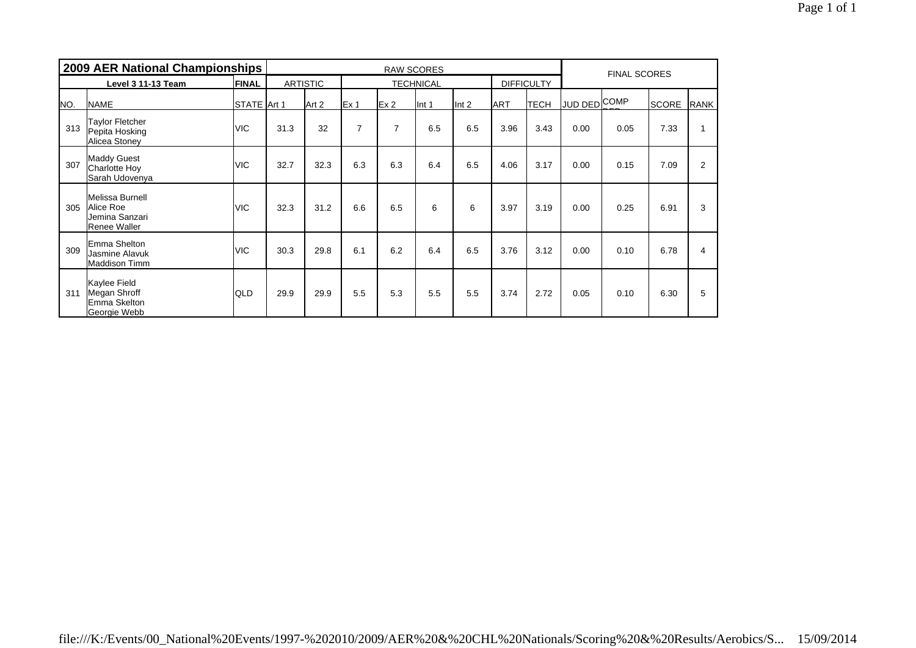|     | 2009 AER National Championships                                       |              |      |                 |                 | <b>FINAL SCORES</b> |                  |                  |            |                   |                     |      |              |                |
|-----|-----------------------------------------------------------------------|--------------|------|-----------------|-----------------|---------------------|------------------|------------------|------------|-------------------|---------------------|------|--------------|----------------|
|     | Level 3 11-13 Team                                                    | <b>FINAL</b> |      | <b>ARTISTIC</b> |                 |                     | <b>TECHNICAL</b> |                  |            | <b>DIFFICULTY</b> |                     |      |              |                |
| NO. | <b>NAME</b>                                                           | STATE Art 1  |      | Art 2           | Ex <sub>1</sub> | Ex2                 | Int 1            | Int <sub>2</sub> | <b>ART</b> | <b>TECH</b>       | <b>JUD DED COMP</b> |      | <b>SCORE</b> | RANK           |
| 313 | <b>Taylor Fletcher</b><br>Pepita Hosking<br>Alicea Stoney             | <b>VIC</b>   | 31.3 | 32              | $\overline{7}$  | 7                   | 6.5              | 6.5              | 3.96       | 3.43              | 0.00                | 0.05 | 7.33         |                |
| 307 | <b>Maddy Guest</b><br><b>Charlotte Hoy</b><br>Sarah Udovenya          | <b>VIC</b>   | 32.7 | 32.3            | 6.3             | 6.3                 | 6.4              | 6.5              | 4.06       | 3.17              | 0.00                | 0.15 | 7.09         | $\overline{2}$ |
| 305 | Melissa Burnell<br>Alice Roe<br>Jemina Sanzari<br><b>Renee Waller</b> | <b>VIC</b>   | 32.3 | 31.2            | 6.6             | 6.5                 | 6                | 6                | 3.97       | 3.19              | 0.00                | 0.25 | 6.91         | 3              |
| 309 | Emma Shelton<br>Jasmine Alavuk<br><b>Maddison Timm</b>                | <b>VIC</b>   | 30.3 | 29.8            | 6.1             | 6.2                 | 6.4              | 6.5              | 3.76       | 3.12              | 0.00                | 0.10 | 6.78         | 4              |
| 311 | Kaylee Field<br>Megan Shroff<br>Emma Skelton<br>Georgie Webb          | <b>QLD</b>   | 29.9 | 29.9            | 5.5             | 5.3                 | 5.5              | 5.5              | 3.74       | 2.72              | 0.05                | 0.10 | 6.30         | 5              |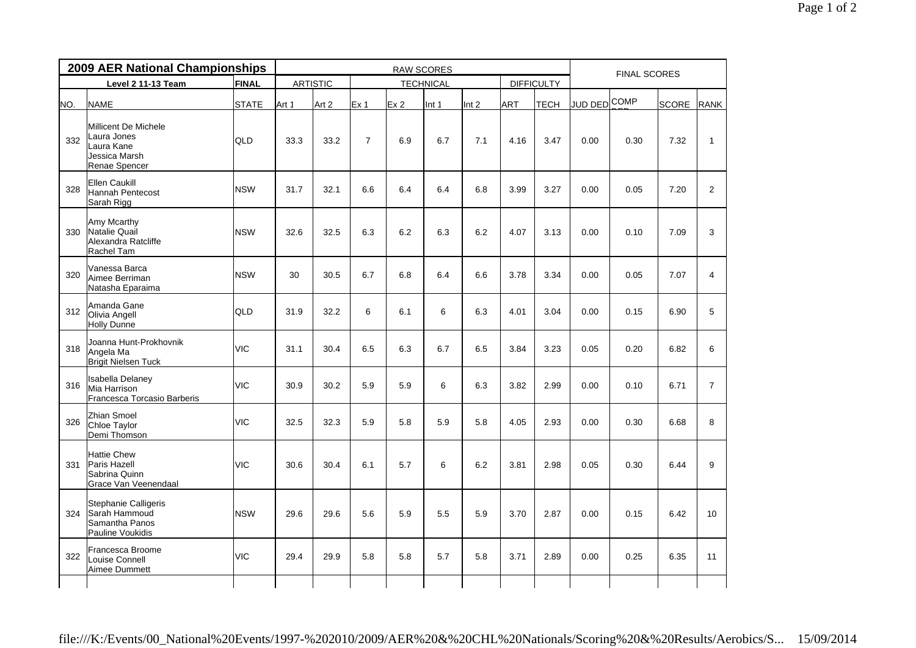|     | 2009 AER National Championships                                                     |              |       |                 |                 |                 | <b>RAW SCORES</b> |       |            |                   | <b>FINAL SCORES</b> |      |       |                |  |
|-----|-------------------------------------------------------------------------------------|--------------|-------|-----------------|-----------------|-----------------|-------------------|-------|------------|-------------------|---------------------|------|-------|----------------|--|
|     | Level 2 11-13 Team                                                                  | FINAL        |       | <b>ARTISTIC</b> |                 |                 | <b>TECHNICAL</b>  |       |            | <b>DIFFICULTY</b> |                     |      |       |                |  |
| NO. | <b>NAME</b>                                                                         | <b>STATE</b> | Art 1 | Art 2           | Ex <sub>1</sub> | Ex <sub>2</sub> | Int 1             | Int 2 | <b>ART</b> | <b>TECH</b>       | <b>JUD DED</b> COMP |      | SCORE | <b>RANK</b>    |  |
| 332 | Millicent De Michele<br>Laura Jones<br>Laura Kane<br>Jessica Marsh<br>Renae Spencer | QLD          | 33.3  | 33.2            | $\overline{7}$  | 6.9             | 6.7               | 7.1   | 4.16       | 3.47              | 0.00                | 0.30 | 7.32  | $\mathbf{1}$   |  |
| 328 | Ellen Caukill<br>Hannah Pentecost<br>Sarah Rigg                                     | <b>NSW</b>   | 31.7  | 32.1            | 6.6             | 6.4             | 6.4               | 6.8   | 3.99       | 3.27              | 0.00                | 0.05 | 7.20  | $\overline{2}$ |  |
| 330 | Amy Mcarthy<br>Natalie Quail<br>Alexandra Ratcliffe<br>Rachel Tam                   | <b>NSW</b>   | 32.6  | 32.5            | 6.3             | 6.2             | 6.3               | 6.2   | 4.07       | 3.13              | 0.00                | 0.10 | 7.09  | 3              |  |
| 320 | Vanessa Barca<br>Aimee Berriman<br>Natasha Eparaima                                 | <b>NSW</b>   | 30    | 30.5            | 6.7             | 6.8             | 6.4               | 6.6   | 3.78       | 3.34              | 0.00                | 0.05 | 7.07  | $\overline{4}$ |  |
| 312 | Amanda Gane<br>Olivia Angell<br>Holly Dunne                                         | QLD          | 31.9  | 32.2            | 6               | 6.1             | 6                 | 6.3   | 4.01       | 3.04              | 0.00                | 0.15 | 6.90  | 5              |  |
| 318 | Joanna Hunt-Prokhovnik<br>Angela Ma<br><b>Brigit Nielsen Tuck</b>                   | <b>VIC</b>   | 31.1  | 30.4            | 6.5             | 6.3             | 6.7               | 6.5   | 3.84       | 3.23              | 0.05                | 0.20 | 6.82  | 6              |  |
| 316 | <b>Isabella Delaney</b><br>Mia Harrison<br>Francesca Torcasio Barberis              | <b>VIC</b>   | 30.9  | 30.2            | 5.9             | 5.9             | 6                 | 6.3   | 3.82       | 2.99              | 0.00                | 0.10 | 6.71  | $\overline{7}$ |  |
| 326 | Zhian Smoel<br>Chloe Taylor<br>Demi Thomson                                         | <b>VIC</b>   | 32.5  | 32.3            | 5.9             | 5.8             | 5.9               | 5.8   | 4.05       | 2.93              | 0.00                | 0.30 | 6.68  | 8              |  |
| 331 | <b>Hattie Chew</b><br><b>Paris Hazell</b><br>Sabrina Quinn<br>Grace Van Veenendaal  | <b>VIC</b>   | 30.6  | 30.4            | 6.1             | 5.7             | 6                 | 6.2   | 3.81       | 2.98              | 0.05                | 0.30 | 6.44  | 9              |  |
| 324 | Stephanie Calligeris<br>Sarah Hammoud<br>Samantha Panos<br>Pauline Voukidis         | <b>NSW</b>   | 29.6  | 29.6            | 5.6             | 5.9             | 5.5               | 5.9   | 3.70       | 2.87              | 0.00                | 0.15 | 6.42  | 10             |  |
| 322 | Francesca Broome<br>Louise Connell<br>Aimee Dummett                                 | <b>VIC</b>   | 29.4  | 29.9            | 5.8             | 5.8             | 5.7               | 5.8   | 3.71       | 2.89              | 0.00                | 0.25 | 6.35  | 11             |  |
|     |                                                                                     |              |       |                 |                 |                 |                   |       |            |                   |                     |      |       |                |  |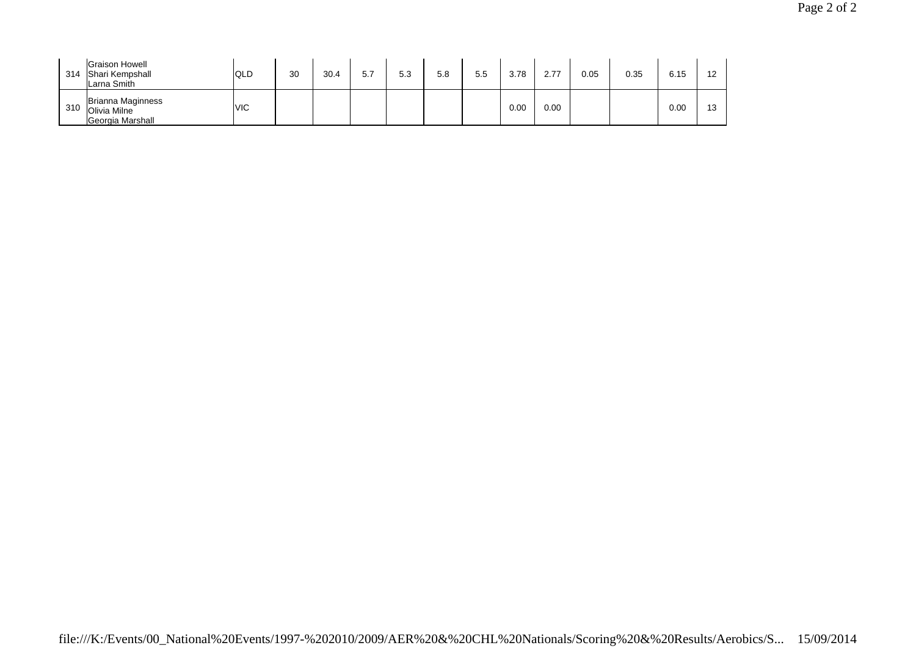| 314 | <b>Graison Howell</b><br>Shari Kempshall<br>Larna Smith | <b>QLD</b> | 30 | 30.4 | 5.7 | 5.3 | 5.8 | 5.5 | 3.78 | 2.77 | 0.05 | 0.35 | 6.15 | 12        |
|-----|---------------------------------------------------------|------------|----|------|-----|-----|-----|-----|------|------|------|------|------|-----------|
| 310 | Brianna Maginness<br>Olivia Milne<br>Georgia Marshall   | <b>VIC</b> |    |      |     |     |     |     | 0.00 | 0.00 |      |      | 0.00 | 12<br>ں ا |